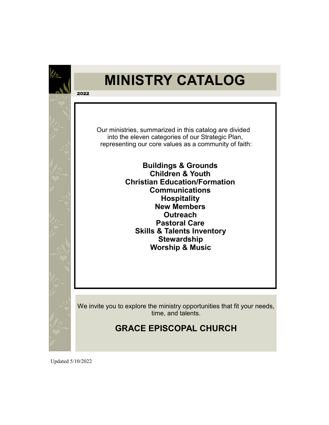

**2022** 

### **MINISTRY CATALOG**

 Our ministries, summarized in this catalog are divided into the eleven categories of our Strategic Plan, representing our core values as a community of faith:

> **Buildings & Grounds Children & Youth Christian Education/Formation Communications Hospitality New Members Outreach Pastoral Care Skills & Talents Inventory Stewardship Worship & Music**

We invite you to explore the ministry opportunities that fit your needs, time, and talents.

### **GRACE EPISCOPAL CHURCH**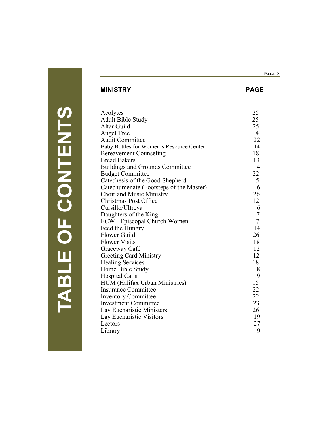### **Page 2**

### **MINISTRY PAGE**

| Acolytes                                 | 25             |
|------------------------------------------|----------------|
| Adult Bible Study                        | 25             |
| Altar Guild                              | 25             |
| Angel Tree                               | 14             |
| <b>Audit Committee</b>                   | 22             |
| Baby Bottles for Women's Resource Center | 14             |
| <b>Bereavement Counseling</b>            | 18             |
| <b>Bread Bakers</b>                      | 13             |
| <b>Buildings and Grounds Committee</b>   | $\overline{4}$ |
| <b>Budget Committee</b>                  | 22             |
| Catechesis of the Good Shepherd          | $\mathfrak{S}$ |
| Catechumenate (Footsteps of the Master)  | 6              |
| Choir and Music Ministry                 | 26             |
| <b>Christmas Post Office</b>             | 12             |
| Cursillo/Ultreya                         | 6              |
| Daughters of the King                    | $\tau$         |
| ECW - Episcopal Church Women             | $\overline{7}$ |
| Feed the Hungry                          | 14             |
| Flower Guild                             | 26             |
| <b>Flower Visits</b>                     | 18             |
| Graceway Café                            | 12             |
| <b>Greeting Card Ministry</b>            | 12             |
| <b>Healing Services</b>                  | 18             |
| Home Bible Study                         | 8              |
| <b>Hospital Calls</b>                    | 19             |
| HUM (Halifax Urban Ministries)           | 15             |
| <b>Insurance Committee</b>               | 22             |
| <b>Inventory Committee</b>               | 22             |
| <b>Investment Committee</b>              | 23             |
| Lay Eucharistic Ministers                | 26             |
| Lay Eucharistic Visitors                 | 19             |
| Lectors                                  | 27             |
| Library                                  | 9              |

| J                      |
|------------------------|
|                        |
|                        |
| <b>Service Service</b> |
|                        |
|                        |
|                        |
| ŗ,                     |
|                        |
| π                      |
|                        |
|                        |
|                        |
|                        |
| <b>Service Service</b> |
| Ξ                      |
|                        |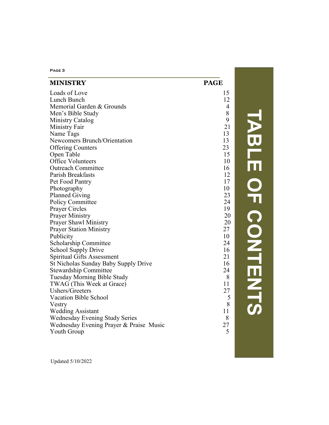| PAGE <sub>3</sub>                       |                |
|-----------------------------------------|----------------|
| <b>MINISTRY</b>                         | <b>PAGE</b>    |
| Loads of Love                           | 15             |
| Lunch Bunch                             | 12             |
| Memorial Garden & Grounds               | $\overline{4}$ |
| Men's Bible Study                       | 8              |
| Ministry Catalog                        | 9              |
| Ministry Fair                           | 21             |
| Name Tags                               | 13             |
| Newcomers Brunch/Orientation            | 13             |
| <b>Offering Counters</b>                | 23             |
| Open Table                              | 15             |
| <b>Office Volunteers</b>                | 10             |
| <b>Outreach Committee</b>               | 16             |
| Parish Breakfasts                       | 12             |
| Pet Food Pantry                         | 17             |
| Photography                             | 10             |
| <b>Planned Giving</b>                   | 23             |
| <b>Policy Committee</b>                 | 24             |
| Prayer Circles                          | 19             |
| <b>Prayer Ministry</b>                  | 20             |
| Prayer Shawl Ministry                   | 20             |
| <b>Prayer Station Ministry</b>          | 27             |
| Publicity                               | 10             |
| Scholarship Committee                   | 24             |
| School Supply Drive                     | 16             |
| Spiritual Gifts Assessment              | 21             |
| St Nicholas Sunday Baby Supply Drive    | 16             |
| <b>Stewardship Committee</b>            | 24             |
| Tuesday Morning Bible Study             | 8              |
| TWAG (This Week at Grace)               | 11             |
| Ushers/Greeters                         | 27             |
| <b>Vacation Bible School</b>            |                |
| Vestry                                  | 8              |
| <b>Wedding Assistant</b>                | 11             |
| <b>Wednesday Evening Study Series</b>   | 8              |
| Wednesday Evening Prayer & Praise Music | 27             |
| Youth Group                             | 5              |

**TABLE OF CONTENTS** ABLE OF CONTENTS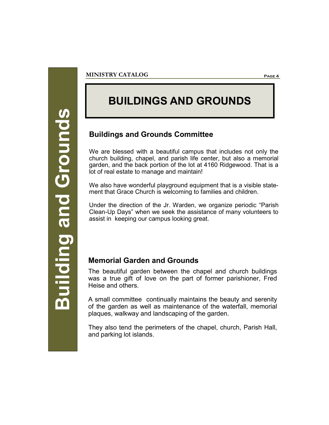## **Building and Grounds Building and Grounds**

### **BUILDINGS AND GROUNDS**

### **Buildings and Grounds Committee**

We are blessed with a beautiful campus that includes not only the church building, chapel, and parish life center, but also a memorial garden, and the back portion of the lot at 4160 Ridgewood. That is a lot of real estate to manage and maintain!

We also have wonderful playground equipment that is a visible statement that Grace Church is welcoming to families and children.

Under the direction of the Jr. Warden, we organize periodic "Parish Clean-Up Days" when we seek the assistance of many volunteers to assist in keeping our campus looking great.

### **Memorial Garden and Grounds**

The beautiful garden between the chapel and church buildings was a true gift of love on the part of former parishioner, Fred Heise and others.

A small committee continually maintains the beauty and serenity of the garden as well as maintenance of the waterfall, memorial plaques, walkway and landscaping of the garden.

They also tend the perimeters of the chapel, church, Parish Hall, and parking lot islands.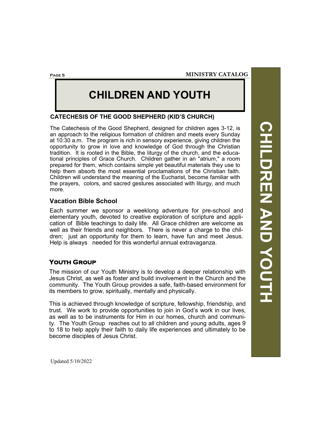**Page 5**

### **CHILDREN AND YOUTH**

### **CATECHESIS OF THE GOOD SHEPHERD (KID'S CHURCH)**

The Catechesis of the Good Shepherd, designed for children ages 3-12, is an approach to the religious formation of children and meets every Sunday at 10:30 a.m. The program is rich in sensory experience, giving children the opportunity to grow in love and knowledge of God through the Christian tradition. It is rooted in the Bible, the liturgy of the church, and the educational principles of Grace Church. Children gather in an "atrium," a room prepared for them, which contains simple yet beautiful materials they use to help them absorb the most essential proclamations of the Christian faith. Children will understand the meaning of the Eucharist, become familiar with the prayers, colors, and sacred gestures associated with liturgy, and much more.

### **Vacation Bible School**

Each summer we sponsor a weeklong adventure for pre-school and elementary youth, devoted to creative exploration of scripture and application of Bible teachings to daily life. All Grace children are welcome as well as their friends and neighbors. There is never a charge to the children; just an opportunity for them to learn, have fun and meet Jesus. Help is always needed for this wonderful annual extravaganza.

### **Youth Group**

The mission of our Youth Ministry is to develop a deeper relationship with Jesus Christ, as well as foster and build involvement in the Church and the community. The Youth Group provides a safe, faith-based environment for its members to grow, spiritually, mentally and physically.

This is achieved through knowledge of scripture, fellowship, friendship, and trust. We work to provide opportunities to join in God's work in our lives, as well as to be instruments for Him in our homes, church and community. The Youth Group reaches out to all children and young adults, ages 9 to 18 to help apply their faith to daily life experiences and ultimately to be become disciples of Jesus Christ.

**CHILDREN AND YOUTH CHILDREN AND YOUTH**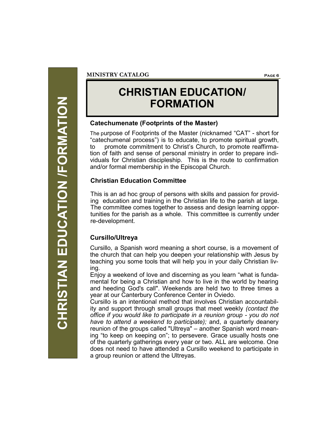CHRISTIAN EDUCATION /FORMATION **CHRISTIAN EDUCATION /FORMATION**

### **CHRISTIAN EDUCATION/ FORMATION**

### **Catechumenate (Footprints of the Master)**

The purpose of Footprints of the Master (nicknamed "CAT" - short for "catechumenal process") is to educate, to promote spiritual growth, to promote commitment to Christ's Church, to promote reaffirmation of faith and sense of personal ministry in order to prepare individuals for Christian discipleship. This is the route to confirmation and/or formal membership in the Episcopal Church.

### **Christian Education Committee**

This is an ad hoc group of persons with skills and passion for providing education and training in the Christian life to the parish at large. The committee comes together to assess and design learning opportunities for the parish as a whole. This committee is currently under re-development.

### **Cursillo/Ultreya**

Cursillo, a Spanish word meaning a short course, is a movement of the church that can help you deepen your relationship with Jesus by teaching you some tools that will help you in your daily Christian living.

Enjoy a weekend of love and discerning as you learn "what is fundamental for being a Christian and how to live in the world by hearing and heeding God's call". Weekends are held two to three times a year at our Canterbury Conference Center in Oviedo.

Cursillo is an intentional method that involves Christian accountability and support through small groups that meet weekly *(contact the office if you would like to participate in a reunion group - you do not have to attend a weekend to participate);* and, a quarterly deanery reunion of the groups called "Ultreya" – another Spanish word meaning "to keep on keeping on"; to persevere. Grace usually hosts one of the quarterly gatherings every year or two. ALL are welcome. One does not need to have attended a Cursillo weekend to participate in a group reunion or attend the Ultreyas.

**MINISTRY CATALOG Page 6**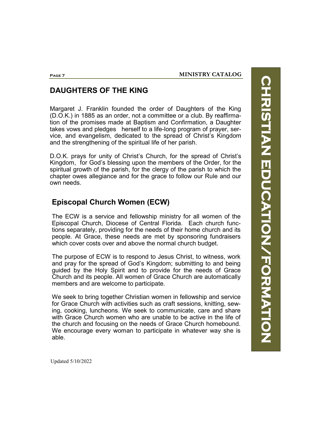## **CHRISTIAN EDUCATION/FORMATION HRISTIAN EDUCATION/FORMATION**

### **DAUGHTERS OF THE KING**

Margaret J. Franklin founded the order of Daughters of the King (D.O.K.) in 1885 as an order, not a committee or a club. By reaffirmation of the promises made at Baptism and Confirmation, a Daughter takes vows and pledges herself to a life-long program of prayer, service, and evangelism, dedicated to the spread of Christ's Kingdom and the strengthening of the spiritual life of her parish.

D.O.K. prays for unity of Christ's Church, for the spread of Christ's Kingdom, for God's blessing upon the members of the Order, for the spiritual growth of the parish, for the clergy of the parish to which the chapter owes allegiance and for the grace to follow our Rule and our own needs.

### **Episcopal Church Women (ECW)**

The ECW is a service and fellowship ministry for all women of the Episcopal Church, Diocese of Central Florida. Each church functions separately, providing for the needs of their home church and its people. At Grace, these needs are met by sponsoring fundraisers which cover costs over and above the normal church budget.

The purpose of ECW is to respond to Jesus Christ, to witness, work and pray for the spread of God's Kingdom; submitting to and being guided by the Holy Spirit and to provide for the needs of Grace Church and its people. All women of Grace Church are automatically members and are welcome to participate.

We seek to bring together Christian women in fellowship and service for Grace Church with activities such as craft sessions, knitting, sewing, cooking, luncheons. We seek to communicate, care and share with Grace Church women who are unable to be active in the life of the church and focusing on the needs of Grace Church homebound. We encourage every woman to participate in whatever way she is able.

Updated 5/10/2022

**Page 7**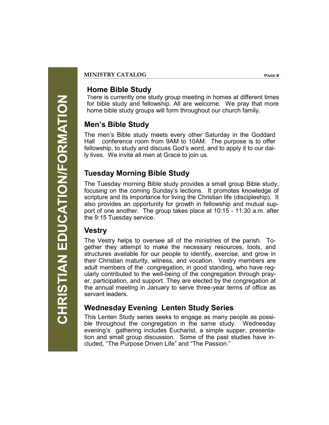### CHRISTIAN EDUCATION/FORMATION **CHRISTIAN EDUCATION/FORMATION**

### **MINISTRY CATALOG Page 8**

### **Home Bible Study**

There is currently one study group meeting in homes at different times for bible study and fellowship. All are welcome. We pray that more home bible study groups will form throughout our church family.

### **Men's Bible Study**

The men's Bible study meets every other Saturday in the Goddard Hall conference room from 9AM to 10AM. The purpose is to offer fellowship, to study and discuss God's word, and to apply it to our daily lives. We invite all men at Grace to join us.

### **Tuesday Morning Bible Study**

The Tuesday morning Bible study provides a small group Bible study, focusing on the coming Sunday's lections. It promotes knowledge of scripture and its importance for living the Christian life (discipleship). It also provides an opportunity for growth in fellowship and mutual support of one another. The group takes place at 10:15 - 11:30 a.m. after the 9:15 Tuesday service.

### **Vestry**

The Vestry helps to oversee all of the ministries of the parish. Together they attempt to make the necessary resources, tools, and structures available for our people to identify, exercise, and grow in their Christian maturity, witness, and vocation. Vestry members are adult members of the congregation, in good standing, who have regularly contributed to the well-being of the congregation through prayer, participation, and support. They are elected by the congregation at the annual meeting in January to serve three-year terms of office as servant leaders.

### **Wednesday Evening Lenten Study Series**

This Lenten Study series seeks to engage as many people as possible throughout the congregation in the same study. Wednesday evening's gathering includes Eucharist, a simple supper, presentation and small group discussion. Some of the past studies have included, "The Purpose Driven Life" and "The Passion."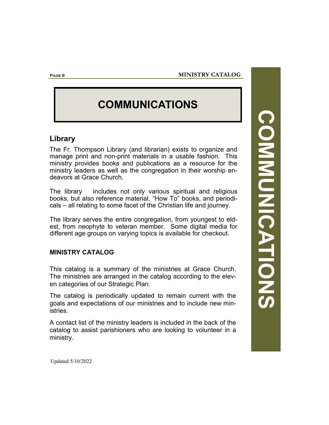### **COMMUNICATIONS**

### **Library**

The Fr. Thompson Library (and librarian) exists to organize and manage print and non-print materials in a usable fashion. This ministry provides books and publications as a resource for the ministry leaders as well as the congregation in their worship endeavors at Grace Church.

The library includes not only various spiritual and religious books, but also reference material, "How To" books, and periodicals – all relating to some facet of the Christian life and journey.

The library serves the entire congregation, from youngest to eldest, from neophyte to veteran member. Some digital media for different age groups on varying topics is available for checkout.

### **MINISTRY CATALOG**

This catalog is a summary of the ministries at Grace Church. The ministries are arranged in the catalog according to the eleven categories of our Strategic Plan.

The catalog is periodically updated to remain current with the goals and expectations of our ministries and to include new ministries.

A contact list of the ministry leaders is included in the back of the catalog to assist parishioners who are looking to volunteer in a ministry.

**COMMUNICATIONS COMMUNICATIONS** 

Updated 5/10/2022

**Page 9**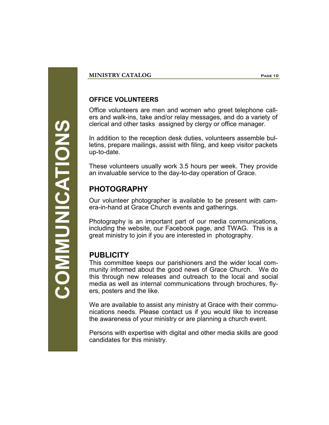### **MINISTRY CATALOG Page 10**

### **OFFICE VOLUNTEERS**

Office volunteers are men and women who greet telephone callers and walk-ins, take and/or relay messages, and do a variety of clerical and other tasks assigned by clergy or office manager.

In addition to the reception desk duties, volunteers assemble bulletins, prepare mailings, assist with filing, and keep visitor packets up-to-date.

These volunteers usually work 3.5 hours per week. They provide an invaluable service to the day-to-day operation of Grace.

### **PHOTOGRAPHY**

Our volunteer photographer is available to be present with camera-in-hand at Grace Church events and gatherings.

Photography is an important part of our media communications, including the website, our Facebook page, and TWAG. This is a great ministry to join if you are interested in photography.

### **PUBLICITY**

This committee keeps our parishioners and the wider local community informed about the good news of Grace Church. We do this through new releases and outreach to the local and social media as well as internal communications through brochures, flyers, posters and the like.

We are available to assist any ministry at Grace with their communications needs. Please contact us if you would like to increase the awareness of your ministry or are planning a church event.

Persons with expertise with digital and other media skills are good candidates for this ministry.

**COMMUNICATIONS COMMUNICATIONS**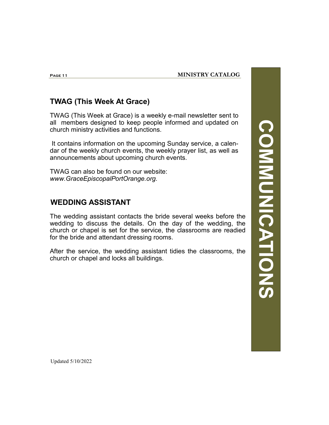**Page 11**

### **TWAG (This Week At Grace)**

TWAG (This Week at Grace) is a weekly e-mail newsletter sent to all members designed to keep people informed and updated on church ministry activities and functions.

It contains information on the upcoming Sunday service, a calendar of the weekly church events, the weekly prayer list, as well as announcements about upcoming church events.

TWAG can also be found on our website: *www.GraceEpiscopalPortOrange.org*.

### **WEDDING ASSISTANT**

The wedding assistant contacts the bride several weeks before the wedding to discuss the details. On the day of the wedding, the church or chapel is set for the service, the classrooms are readied for the bride and attendant dressing rooms.

After the service, the wedding assistant tidies the classrooms, the church or chapel and locks all buildings.

**COMMUNICATIONS COMMUNICATIONS**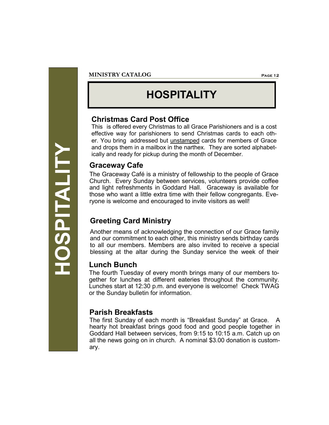# **HOSPITALITY**

### **MINISTRY CATALOG Page 12**

### **HOSPITALITY**

### **Christmas Card Post Office**

This is offered every Christmas to all Grace Parishioners and is a cost effective way for parishioners to send Christmas cards to each other. You bring addressed but unstamped cards for members of Grace and drops them in a mailbox in the narthex. They are sorted alphabetically and ready for pickup during the month of December.

### **Graceway Cafe**

The Graceway Café is a ministry of fellowship to the people of Grace Church. Every Sunday between services, volunteers provide coffee and light refreshments in Goddard Hall. Graceway is available for those who want a little extra time with their fellow congregants. Everyone is welcome and encouraged to invite visitors as well!

### **Greeting Card Ministry**

Another means of acknowledging the connection of our Grace family and our commitment to each other, this ministry sends birthday cards to all our members. Members are also invited to receive a special blessing at the altar during the Sunday service the week of their

### **Lunch Bunch**

The fourth Tuesday of every month brings many of our members together for lunches at different eateries throughout the community. Lunches start at 12:30 p.m. and everyone is welcome! Check TWAG or the Sunday bulletin for information.

### **Parish Breakfasts**

The first Sunday of each month is "Breakfast Sunday" at Grace. A hearty hot breakfast brings good food and good people together in Goddard Hall between services, from 9:15 to 10:15 a.m. Catch up on all the news going on in church. A nominal \$3.00 donation is customary.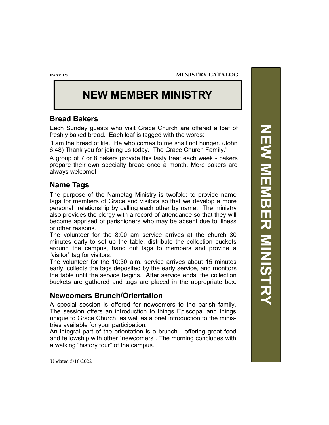**MINISTRY CATALOG**

**Page 13**

### **NEW MEMBER MINISTRY**

### **Bread Bakers**

Each Sunday guests who visit Grace Church are offered a loaf of freshly baked bread. Each loaf is tagged with the words:

"I am the bread of life. He who comes to me shall not hunger. (John 6:48) Thank you for joining us today. The Grace Church Family."

A group of 7 or 8 bakers provide this tasty treat each week - bakers prepare their own specialty bread once a month. More bakers are always welcome!

### **Name Tags**

The purpose of the Nametag Ministry is twofold: to provide name tags for members of Grace and visitors so that we develop a more personal relationship by calling each other by name. The ministry also provides the clergy with a record of attendance so that they will become apprised of parishioners who may be absent due to illness or other reasons.

The volunteer for the 8:00 am service arrives at the church 30 minutes early to set up the table, distribute the collection buckets around the campus, hand out tags to members and provide a "visitor" tag for visitors.

The volunteer for the 10:30 a.m. service arrives about 15 minutes early, collects the tags deposited by the early service, and monitors the table until the service begins. After service ends, the collection buckets are gathered and tags are placed in the appropriate box.

### **Newcomers Brunch/Orientation**

A special session is offered for newcomers to the parish family. The session offers an introduction to things Episcopal and things unique to Grace Church, as well as a brief introduction to the ministries available for your participation.

An integral part of the orientation is a brunch - offering great food and fellowship with other "newcomers". The morning concludes with a walking "history tour" of the campus.

NEW NEWSING NEWSIAS **NEW MEMBER MINISTRY**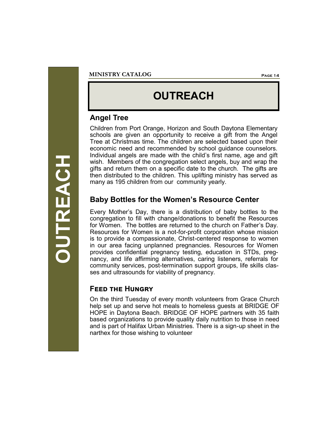### **OUTREACH**

### **Angel Tree**

Children from Port Orange, Horizon and South Daytona Elementary schools are given an opportunity to receive a gift from the Angel Tree at Christmas time. The children are selected based upon their economic need and recommended by school guidance counselors. Individual angels are made with the child's first name, age and gift wish. Members of the congregation select angels, buy and wrap the gifts and return them on a specific date to the church. The gifts are then distributed to the children. This uplifting ministry has served as many as 195 children from our community yearly.

### **Baby Bottles for the Women's Resource Center**

Every Mother's Day, there is a distribution of baby bottles to the congregation to fill with change/donations to benefit the Resources for Women. The bottles are returned to the church on Father's Day. Resources for Women is a not-for-profit corporation whose mission is to provide a compassionate, Christ-centered response to women in our area facing unplanned pregnancies. Resources for Women provides confidential pregnancy testing, education in STDs, pregnancy, and life affirming alternatives, caring listeners, referrals for community services, post-termination support groups, life skills classes and ultrasounds for viability of pregnancy.

### **Feed the Hungry**

On the third Tuesday of every month volunteers from Grace Church help set up and serve hot meals to homeless guests at BRIDGE OF HOPE in Daytona Beach. BRIDGE OF HOPE partners with 35 faith based organizations to provide quality daily nutrition to those in need and is part of Halifax Urban Ministries. There is a sign-up sheet in the narthex for those wishing to volunteer

**OUTREACH**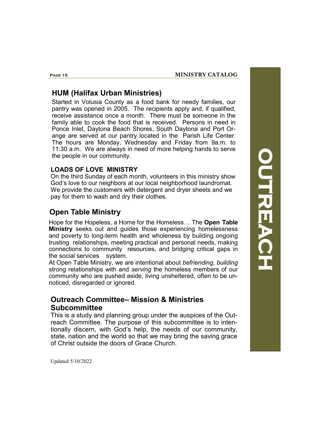### **HUM (Halifax Urban Ministries)**

Started in Volusia County as a food bank for needy families, our pantry was opened in 2005. The recipients apply and, if qualified, receive assistance once a month. There must be someone in the family able to cook the food that is received. Persons in need in Ponce Inlet, Daytona Beach Shores, South Daytona and Port Orange are served at our pantry located in the Parish Life Center. The hours are Monday, Wednesday and Friday from 9a.m. to 11:30 a.m. We are always in need of more helping hands to serve the people in our community.

### **LOADS OF LOVE MINISTRY**

On the third Sunday of each month, volunteers in this ministry show God's love to our neighbors at our local neighborhood laundromat. We provide the customers with detergent and dryer sheets and we pay for them to wash and dry their clothes.

### **Open Table Ministry**

Hope for the Hopeless, a Home for the Homeless… The **Open Table Ministry** seeks out and guides those experiencing homelessness and poverty to long-term health and wholeness by building ongoing trusting relationships, meeting practical and personal needs, making connections to community resources, and bridging critical gaps in the social services system.

At Open Table Ministry, we are intentional about *befriending*, *building* strong relationships with and *serving* the homeless members of our community who are pushed aside, living unsheltered, often to be unnoticed, disregarded or ignored.

### **Outreach Committee– Mission & Ministries Subcommittee**

This is a study and planning group under the auspices of the Outreach Committee. The purpose of this subcommittee is to intentionally discern, with God's help, the needs of our community, state, nation and the world so that we may bring the saving grace of Christ outside the doors of Grace Church.

**OUTREACH**  OUTREACH

**Page 15**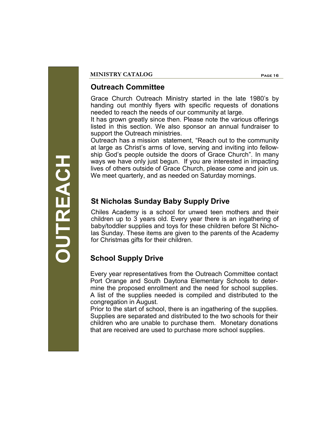### **Outreach Committee**

Grace Church Outreach Ministry started in the late 1980's by handing out monthly flyers with specific requests of donations needed to reach the needs of our community at large.

It has grown greatly since then. Please note the various offerings listed in this section. We also sponsor an annual fundraiser to support the Outreach ministries.

Outreach has a mission statement, "Reach out to the community at large as Christ's arms of love, serving and inviting into fellowship God's people outside the doors of Grace Church". In many ways we have only just begun. If you are interested in impacting lives of others outside of Grace Church, please come and join us. We meet quarterly, and as needed on Saturday mornings.

### **St Nicholas Sunday Baby Supply Drive**

Chiles Academy is a school for unwed teen mothers and their children up to 3 years old. Every year there is an ingathering of baby/toddler supplies and toys for these children before St Nicholas Sunday. These items are given to the parents of the Academy for Christmas gifts for their children.

### **School Supply Drive**

Every year representatives from the Outreach Committee contact Port Orange and South Daytona Elementary Schools to determine the proposed enrollment and the need for school supplies. A list of the supplies needed is compiled and distributed to the congregation in August.

Prior to the start of school, there is an ingathering of the supplies. Supplies are separated and distributed to the two schools for their children who are unable to purchase them. Monetary donations that are received are used to purchase more school supplies.

**OUTREACH**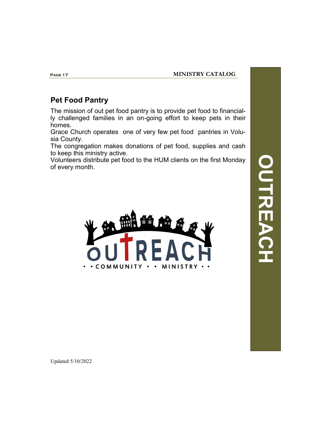### **Pet Food Pantry**

The mission of out pet food pantry is to provide pet food to financially challenged families in an on-going effort to keep pets in their homes.

Grace Church operates one of very few pet food pantries in Volusia County.

The congregation makes donations of pet food, supplies and cash to keep this ministry active.

Volunteers distribute pet food to the HUM clients on the first Monday of every month.



**OUTREACH** DO DO

**Page 17**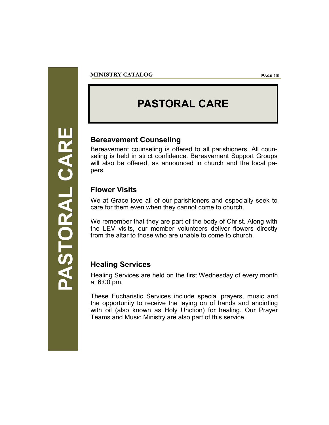### **PASTORAL CARE**

### **Bereavement Counseling**

Bereavement counseling is offered to all parishioners. All counseling is held in strict confidence. Bereavement Support Groups will also be offered, as announced in church and the local papers.

### **Flower Visits**

We at Grace love all of our parishioners and especially seek to care for them even when they cannot come to church.

We remember that they are part of the body of Christ. Along with the LEV visits, our member volunteers deliver flowers directly from the altar to those who are unable to come to church.

### **Healing Services**

Healing Services are held on the first Wednesday of every month at 6:00 pm.

These Eucharistic Services include special prayers, music and the opportunity to receive the laying on of hands and anointing with oil (also known as Holy Unction) for healing. Our Prayer Teams and Music Ministry are also part of this service.

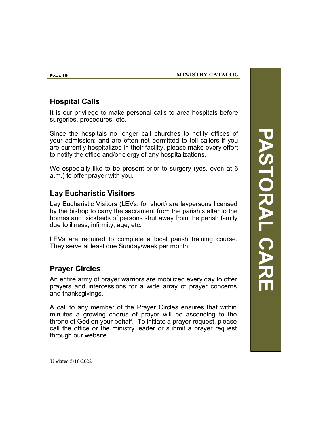### **Hospital Calls**

It is our privilege to make personal calls to area hospitals before surgeries, procedures, etc.

Since the hospitals no longer call churches to notify offices of your admission; and are often not permitted to tell callers if you are currently hospitalized in their facility, please make every effort to notify the office and/or clergy of any hospitalizations.

We especially like to be present prior to surgery (yes, even at 6 a.m.) to offer prayer with you.

### **Lay Eucharistic Visitors**

Lay Eucharistic Visitors (LEVs, for short) are laypersons licensed by the bishop to carry the sacrament from the parish's altar to the homes and sickbeds of persons shut away from the parish family due to illness, infirmity, age, etc.

LEVs are required to complete a local parish training course. They serve at least one Sunday/week per month.

### **Prayer Circles**

An entire army of prayer warriors are mobilized every day to offer prayers and intercessions for a wide array of prayer concerns and thanksgivings.

A call to any member of the Prayer Circles ensures that within minutes a growing chorus of prayer will be ascending to the throne of God on your behalf. To initiate a prayer request, please call the office or the ministry leader or submit a prayer request through our website.

**PASTORAL CARE** PASTORAL CARE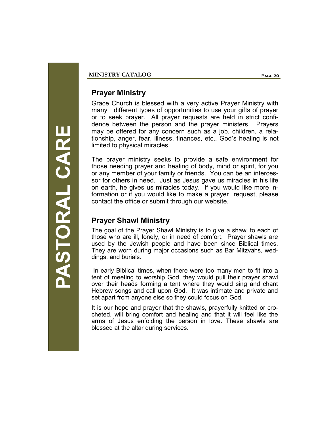### **Prayer Ministry**

Grace Church is blessed with a very active Prayer Ministry with many different types of opportunities to use your gifts of prayer or to seek prayer. All prayer requests are held in strict confidence between the person and the prayer ministers. Prayers may be offered for any concern such as a job, children, a relationship, anger, fear, illness, finances, etc.. God's healing is not limited to physical miracles.

The prayer ministry seeks to provide a safe environment for those needing prayer and healing of body, mind or spirit, for you or any member of your family or friends. You can be an intercessor for others in need. Just as Jesus gave us miracles in his life on earth, he gives us miracles today. If you would like more information or if you would like to make a prayer request, please contact the office or submit through our website.

### **Prayer Shawl Ministry**

The goal of the Prayer Shawl Ministry is to give a shawl to each of those who are ill, lonely, or in need of comfort. Prayer shawls are used by the Jewish people and have been since Biblical times. They are worn during major occasions such as Bar Mitzvahs, weddings, and burials.

In early Biblical times, when there were too many men to fit into a tent of meeting to worship God, they would pull their prayer shawl over their heads forming a tent where they would sing and chant Hebrew songs and call upon God. It was intimate and private and set apart from anyone else so they could focus on God.

It is our hope and prayer that the shawls, prayerfully knitted or crocheted, will bring comfort and healing and that it will feel like the arms of Jesus enfolding the person in love. These shawls are blessed at the altar during services.

ASTORAL CARE **PASTORAL CARE**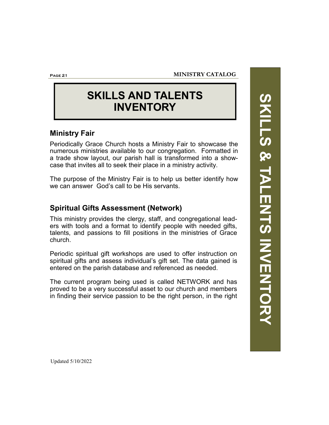**Page 21**

### **SKILLS AND TALENTS INVENTORY**

### **Ministry Fair**

Periodically Grace Church hosts a Ministry Fair to showcase the numerous ministries available to our congregation. Formatted in a trade show layout, our parish hall is transformed into a showcase that invites all to seek their place in a ministry activity.

The purpose of the Ministry Fair is to help us better identify how we can answer God's call to be His servants.

### **Spiritual Gifts Assessment (Network)**

This ministry provides the clergy, staff, and congregational leaders with tools and a format to identify people with needed gifts, talents, and passions to fill positions in the ministries of Grace church.

Periodic spiritual gift workshops are used to offer instruction on spiritual gifts and assess individual's gift set. The data gained is entered on the parish database and referenced as needed.

The current program being used is called NETWORK and has proved to be a very successful asset to our church and members in finding their service passion to be the right person, in the right SKILLS & TALENTS INVENTORY **SKILLS & TALENTS INVENTORY**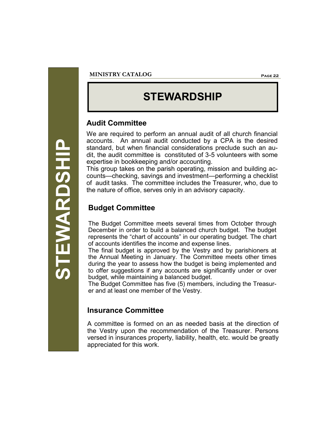### **STEWARDSHIP** STEWARDSHII

### **STEWARDSHIP**

### **Audit Committee**

We are required to perform an annual audit of all church financial accounts. An annual audit conducted by a CPA is the desired standard, but when financial considerations preclude such an audit, the audit committee is constituted of 3-5 volunteers with some expertise in bookkeeping and/or accounting.

This group takes on the parish operating, mission and building accounts—checking, savings and investment—performing a checklist of audit tasks. The committee includes the Treasurer, who, due to the nature of office, serves only in an advisory capacity.

### **Budget Committee**

The Budget Committee meets several times from October through December in order to build a balanced church budget. The budget represents the "chart of accounts" in our operating budget. The chart of accounts identifies the income and expense lines.

The final budget is approved by the Vestry and by parishioners at the Annual Meeting in January. The Committee meets other times during the year to assess how the budget is being implemented and to offer suggestions if any accounts are significantly under or over budget, while maintaining a balanced budget.

The Budget Committee has five (5) members, including the Treasurer and at least one member of the Vestry.

### **Insurance Committee**

A committee is formed on an as needed basis at the direction of the Vestry upon the recommendation of the Treasurer. Persons versed in insurances property, liability, health, etc. would be greatly appreciated for this work.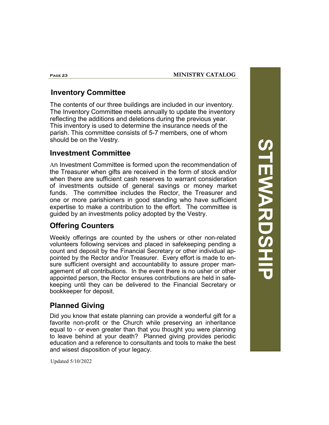### **Inventory Committee**

The contents of our three buildings are included in our inventory. The Inventory Committee meets annually to update the inventory reflecting the additions and deletions during the previous year. This inventory is used to determine the insurance needs of the parish. This committee consists of 5-7 members, one of whom should be on the Vestry.

### **Investment Committee**

An Investment Committee is formed upon the recommendation of the Treasurer when gifts are received in the form of stock and/or when there are sufficient cash reserves to warrant consideration of investments outside of general savings or money market funds. The committee includes the Rector, the Treasurer and one or more parishioners in good standing who have sufficient expertise to make a contribution to the effort. The committee is guided by an investments policy adopted by the Vestry.

### **Offering Counters**

Weekly offerings are counted by the ushers or other non-related volunteers following services and placed in safekeeping pending a count and deposit by the Financial Secretary or other individual appointed by the Rector and/or Treasurer. Every effort is made to ensure sufficient oversight and accountability to assure proper management of all contributions. In the event there is no usher or other appointed person, the Rector ensures contributions are held in safekeeping until they can be delivered to the Financial Secretary or bookkeeper for deposit.

### **Planned Giving**

Did you know that estate planning can provide a wonderful gift for a favorite non-profit or the Church while preserving an inheritance equal to - or even greater than that you thought you were planning to leave behind at your death? Planned giving provides periodic education and a reference to consultants and tools to make the best and wisest disposition of your legacy.

**STEWARDSHIP STEWARDSHI** 

Updated 5/10/2022

**Page 23**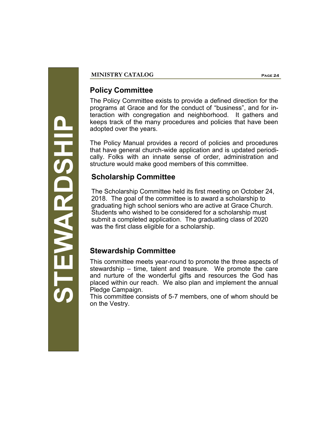### **Policy Committee**

The Policy Committee exists to provide a defined direction for the programs at Grace and for the conduct of "business", and for interaction with congregation and neighborhood. It gathers and keeps track of the many procedures and policies that have been adopted over the years.

The Policy Manual provides a record of policies and procedures that have general church-wide application and is updated periodically. Folks with an innate sense of order, administration and structure would make good members of this committee.

### **Scholarship Committee**

The Scholarship Committee held its first meeting on October 24, 2018. The goal of the committee is to award a scholarship to graduating high school seniors who are active at Grace Church. Students who wished to be considered for a scholarship must submit a completed application. The graduating class of 2020 was the first class eligible for a scholarship.

### **Stewardship Committee**

This committee meets year-round to promote the three aspects of stewardship – time, talent and treasure. We promote the care and nurture of the wonderful gifts and resources the God has placed within our reach. We also plan and implement the annual Pledge Campaign.

This committee consists of 5-7 members, one of whom should be on the Vestry.

**STEWARDSHIP TEMARDSHIP**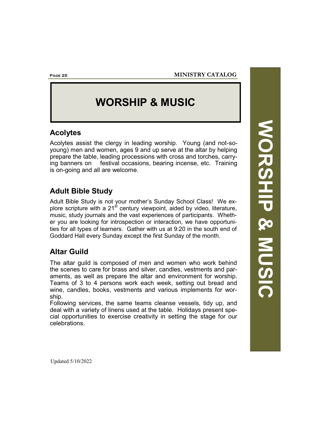**Page 25**

### **WORSHIP & MUSIC**

### **Acolytes**

Acolytes assist the clergy in leading worship. Young (and not-soyoung) men and women, ages 9 and up serve at the altar by helping prepare the table, leading processions with cross and torches, carrying banners on festival occasions, bearing incense, etc. Training is on-going and all are welcome.

### **Adult Bible Study**

Adult Bible Study is not your mother's Sunday School Class! We explore scripture with a  $21^{st}$  century viewpoint, aided by video, literature, music, study journals and the vast experiences of participants. Whether you are looking for introspection or interaction, we have opportunities for all types of learners. Gather with us at 9:20 in the south end of Goddard Hall every Sunday except the first Sunday of the month.

### **Altar Guild**

The altar guild is composed of men and women who work behind the scenes to care for brass and silver, candles, vestments and paraments, as well as prepare the altar and environment for worship. Teams of 3 to 4 persons work each week, setting out bread and wine, candles, books, vestments and various implements for worship.

Following services, the same teams cleanse vessels, tidy up, and deal with a variety of linens used at the table. Holidays present special opportunities to exercise creativity in setting the stage for our celebrations.

**WORSHIP & MUSIC** MORSHIP & MUSI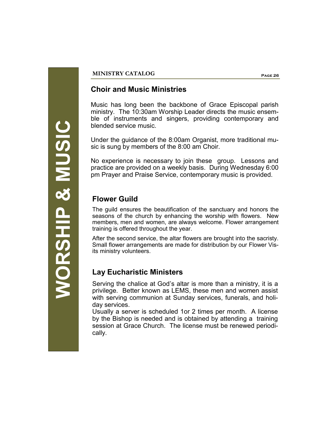### **MINISTRY CATALOG Page 26**

### **Choir and Music Ministries**

Music has long been the backbone of Grace Episcopal parish ministry. The 10:30am Worship Leader directs the music ensemble of instruments and singers, providing contemporary and blended service music.

Under the guidance of the 8:00am Organist, more traditional music is sung by members of the 8:00 am Choir.

No experience is necessary to join these group. Lessons and practice are provided on a weekly basis. During Wednesday 6:00 pm Prayer and Praise Service, contemporary music is provided.

### **Flower Guild**

The guild ensures the beautification of the sanctuary and honors the seasons of the church by enhancing the worship with flowers. New members, men and women, are always welcome. Flower arrangement training is offered throughout the year.

After the second service, the altar flowers are brought into the sacristy. Small flower arrangements are made for distribution by our Flower Visits ministry volunteers.

### **Lay Eucharistic Ministers**

Serving the chalice at God's altar is more than a ministry, it is a privilege. Better known as LEMS, these men and women assist with serving communion at Sunday services, funerals, and holiday services.

Usually a server is scheduled 1or 2 times per month. A license by the Bishop is needed and is obtained by attending a training session at Grace Church. The license must be renewed periodically.

**MORSHIP & MUSIC WORSHIP & MUSIC**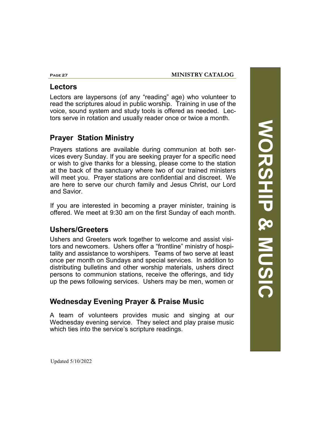### **Lectors**

Lectors are laypersons (of any "reading" age) who volunteer to read the scriptures aloud in public worship. Training in use of the voice, sound system and study tools is offered as needed. Lectors serve in rotation and usually reader once or twice a month.

### **Prayer Station Ministry**

Prayers stations are available during communion at both services every Sunday. If you are seeking prayer for a specific need or wish to give thanks for a blessing, please come to the station at the back of the sanctuary where two of our trained ministers will meet you. Prayer stations are confidential and discreet. We are here to serve our church family and Jesus Christ, our Lord and Savior.

If you are interested in becoming a prayer minister, training is offered. We meet at 9:30 am on the first Sunday of each month.

### **Ushers/Greeters**

Ushers and Greeters work together to welcome and assist visitors and newcomers. Ushers offer a "frontline" ministry of hospitality and assistance to worshipers. Teams of two serve at least once per month on Sundays and special services. In addition to distributing bulletins and other worship materials, ushers direct persons to communion stations, receive the offerings, and tidy up the pews following services. Ushers may be men, women or

### **Wednesday Evening Prayer & Praise Music**

A team of volunteers provides music and singing at our Wednesday evening service. They select and play praise music which ties into the service's scripture readings.

**WORSHIP & MUSIC MORSHIP & MUSIC** 

Updated 5/10/2022

**Page 27**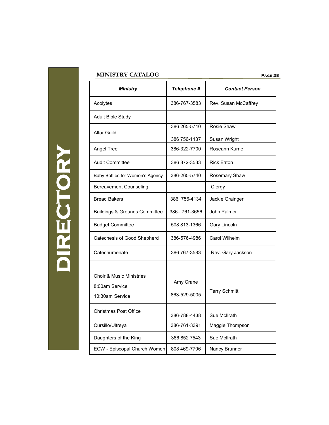### **MINISTRY CATALOG**

| <b>Ministry</b>                          | Telephone #  | <b>Contact Person</b> |
|------------------------------------------|--------------|-----------------------|
| Acolytes                                 | 386-767-3583 | Rev. Susan McCaffrey  |
| Adult Bible Study                        |              |                       |
| <b>Altar Guild</b>                       | 386 265-5740 | Rosie Shaw            |
|                                          | 386 756-1137 | Susan Wright          |
| Angel Tree                               | 386-322-7700 | Roseann Kurrle        |
| <b>Audit Committee</b>                   | 386 872-3533 | <b>Rick Eaton</b>     |
| Baby Bottles for Women's Agency          | 386-265-5740 | Rosemary Shaw         |
| <b>Bereavement Counseling</b>            |              | Clergy                |
| <b>Bread Bakers</b>                      | 386 756-4134 | Jackie Grainger       |
| <b>Buildings &amp; Grounds Committee</b> | 386-761-3656 | John Palmer           |
| <b>Budget Committee</b>                  | 508 813-1366 | Gary Lincoln          |
| Catechesis of Good Shepherd              | 386-576-4986 | Carol Wilhelm         |
| Catechumenate                            | 386 767-3583 | Rev. Gary Jackson     |
| <b>Choir &amp; Music Ministries</b>      |              |                       |
| 8:00am Service                           | Amy Crane    |                       |
| 10:30am Service                          | 863-529-5005 | <b>Terry Schmitt</b>  |
| Christmas Post Office                    | 386-788-4438 | Sue McIlrath          |
| Cursillo/Ultreya                         | 386-761-3391 | Maggie Thompson       |
| Daughters of the King                    | 386 852 7543 | Sue McIlrath          |
| ECW - Episcopal Church Women             | 808 469-7706 | Nancy Brunner         |

**DIRECTORY**  DIRECTORY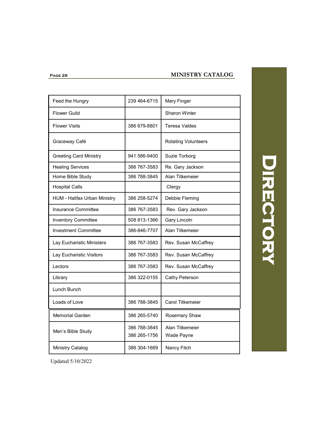### **Page 29**

### **MINISTRY CATALOG**

| Feed the Hungry                     | 239 464-6715                 | Mary Finger                   |
|-------------------------------------|------------------------------|-------------------------------|
| <b>Flower Guild</b>                 |                              | <b>Sharon Winter</b>          |
| <b>Flower Visits</b>                | 386 679-8801                 | <b>Teresa Valdes</b>          |
| Graceway Café                       |                              | <b>Rotating Volunteers</b>    |
| <b>Greeting Card Ministry</b>       | 941 586-9400                 | Suzie Torborg                 |
| <b>Healing Services</b>             | 386 767-3583                 | Re. Gary Jackson              |
| Home Bible Study                    | 386 788-3845                 | Alan Titkemeier               |
| <b>Hospital Calls</b>               |                              | Clergy                        |
| <b>HUM - Halifax Urban Ministry</b> | 386 258-5274                 | Debbie Fleming                |
| <b>Insurance Committee</b>          | 386 767-3583                 | Rev. Gary Jackson             |
| <b>Inventory Committee</b>          | 508 813-1366                 | Gary Lincoln                  |
| <b>Investment Committee</b>         | 386-846-7707                 | Alan Titkemeier               |
| Lay Eucharistic Ministers           | 386 767-3583                 | Rev. Susan McCaffrey          |
| Lay Eucharistic Visitors            | 386 767-3583                 | Rev. Susan McCaffrey          |
| Lectors                             | 386 767-3583                 | Rev. Susan McCaffrey          |
| Library                             | 386 322-0155                 | Cathy Peterson                |
| Lunch Bunch                         |                              |                               |
| Loads of Love                       | 386 788-3845                 | <b>Carol Titkemeier</b>       |
| <b>Memorial Garden</b>              | 386 265-5740                 | Rosemary Shaw                 |
| Men's Bible Study                   | 386 788-3845<br>386 265-1756 | Alan Titkemeier<br>Wade Payne |
| <b>Ministry Catalog</b>             | 386 304-1669                 | Nancy Fitch                   |
|                                     |                              |                               |

### DIRECTORY **Directory**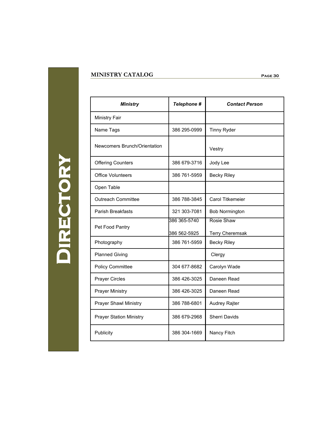### **MINISTRY CATALOG Page 30**

**Directory DIRECTORY** 

| <b>Ministry</b>                | Telephone #  | <b>Contact Person</b>   |
|--------------------------------|--------------|-------------------------|
| <b>Ministry Fair</b>           |              |                         |
| Name Tags                      | 386 295-0999 | <b>Tinny Ryder</b>      |
| Newcomers Brunch/Orientation   |              | Vestry                  |
| <b>Offering Counters</b>       | 386 679-3716 | Jody Lee                |
| <b>Office Volunteers</b>       | 386 761-5959 | <b>Becky Riley</b>      |
| Open Table                     |              |                         |
| <b>Outreach Committee</b>      | 386 788-3845 | <b>Carol Titkemeier</b> |
| Parish Breakfasts              | 321 303-7081 | <b>Bob Normington</b>   |
| Pet Food Pantry                | 386 365-5740 | Rosie Shaw              |
|                                | 386 562-5925 | <b>Terry Cheremsak</b>  |
| Photography                    | 386 761-5959 | <b>Becky Riley</b>      |
| <b>Planned Giving</b>          |              | Clergy                  |
| <b>Policy Committee</b>        | 304 677-8682 | Carolyn Wade            |
| <b>Prayer Circles</b>          | 386 426-3025 | Daneen Read             |
| <b>Prayer Ministry</b>         | 386 426-3025 | Daneen Read             |
| <b>Prayer Shawl Ministry</b>   | 386 788-6801 | Audrey Rajter           |
| <b>Prayer Station Ministry</b> | 386 679-2968 | Sherri Davids           |
| Publicity                      | 386 304-1669 | Nancy Fitch             |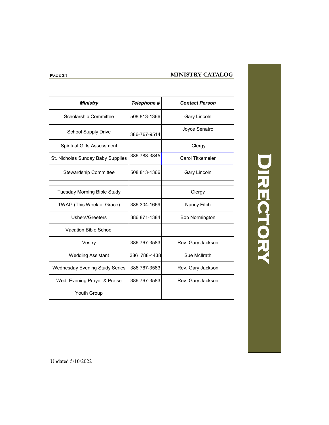### **MINISTRY CATALOG**

| <b>Ministry</b>                       | Telephone #  | <b>Contact Person</b>   |
|---------------------------------------|--------------|-------------------------|
| <b>Scholarship Committee</b>          | 508 813-1366 | Gary Lincoln            |
| School Supply Drive                   | 386-767-9514 | Joyce Senatro           |
| Spiritual Gifts Assessment            |              | Clergy                  |
| St. Nicholas Sunday Baby Supplies     | 386 788-3845 | <b>Carol Titkemeier</b> |
| Stewardship Committee                 | 508 813-1366 | Gary Lincoln            |
| <b>Tuesday Morning Bible Study</b>    |              | Clergy                  |
| TWAG (This Week at Grace)             | 386 304-1669 | Nancy Fitch             |
| <b>Ushers/Greeters</b>                | 386 871-1384 | <b>Bob Normington</b>   |
| Vacation Bible School                 |              |                         |
| Vestry                                | 386 767-3583 | Rev. Gary Jackson       |
| <b>Wedding Assistant</b>              | 386 788-4438 | Sue Mollrath            |
| <b>Wednesday Evening Study Series</b> | 386 767-3583 | Rev. Gary Jackson       |
| Wed. Evening Prayer & Praise          | 386 767-3583 | Rev. Gary Jackson       |
| <b>Youth Group</b>                    |              |                         |

DIRECTORY **Directory** 

**Page 31**